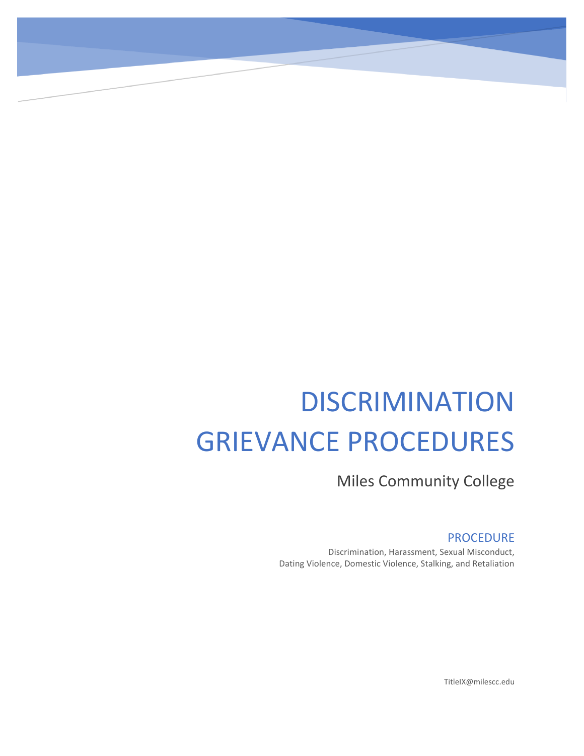# **DISCRIMINATION** GRIEVANCE PROCEDURES

Miles Community College

# PROCEDURE

Discrimination, Harassment, Sexual Misconduct, Dating Violence, Domestic Violence, Stalking, and Retaliation

TitleIX@milescc.edu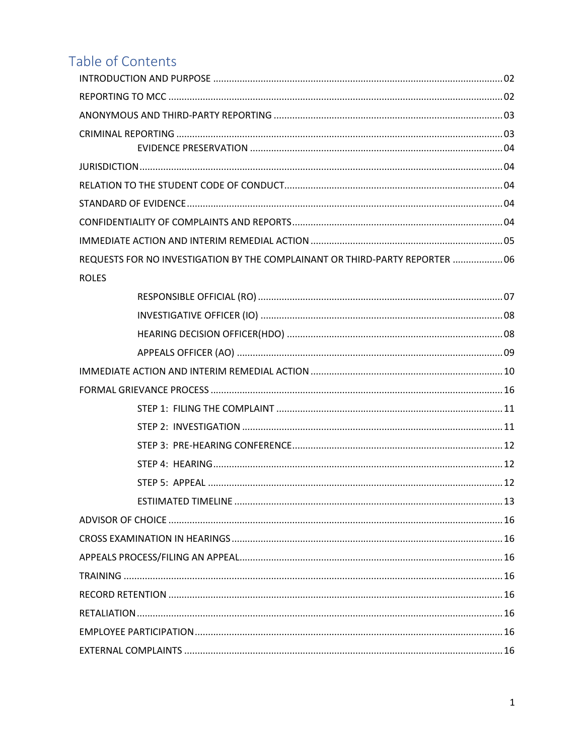# Table of Contents

| REQUESTS FOR NO INVESTIGATION BY THE COMPLAINANT OR THIRD-PARTY REPORTER  06 |  |
|------------------------------------------------------------------------------|--|
| <b>ROLES</b>                                                                 |  |
|                                                                              |  |
|                                                                              |  |
|                                                                              |  |
|                                                                              |  |
|                                                                              |  |
|                                                                              |  |
|                                                                              |  |
|                                                                              |  |
|                                                                              |  |
|                                                                              |  |
|                                                                              |  |
|                                                                              |  |
|                                                                              |  |
|                                                                              |  |
|                                                                              |  |
|                                                                              |  |
|                                                                              |  |
|                                                                              |  |
|                                                                              |  |
|                                                                              |  |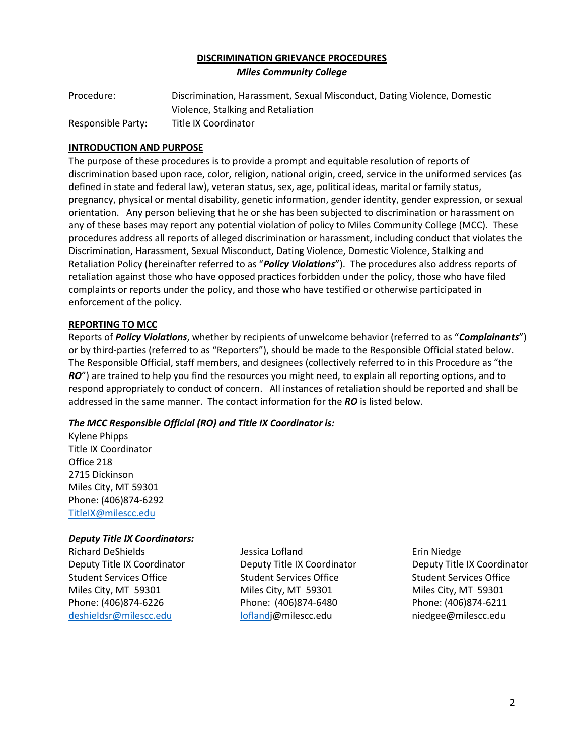#### **DISCRIMINATION GRIEVANCE PROCEDURES** *Miles Community College*

| Procedure:         | Discrimination, Harassment, Sexual Misconduct, Dating Violence, Domestic |
|--------------------|--------------------------------------------------------------------------|
|                    | Violence, Stalking and Retaliation                                       |
| Responsible Party: | Title IX Coordinator                                                     |

#### **INTRODUCTION AND PURPOSE**

The purpose of these procedures is to provide a prompt and equitable resolution of reports of discrimination based upon race, color, religion, national origin, creed, service in the uniformed services (as defined in state and federal law), veteran status, sex, age, political ideas, marital or family status, pregnancy, physical or mental disability, genetic information, gender identity, gender expression, or sexual orientation. Any person believing that he or she has been subjected to discrimination or harassment on any of these bases may report any potential violation of policy to Miles Community College (MCC). These procedures address all reports of alleged discrimination or harassment, including conduct that violates the Discrimination, Harassment, Sexual Misconduct, Dating Violence, Domestic Violence, Stalking and Retaliation Policy (hereinafter referred to as "*Policy Violations*"). The procedures also address reports of retaliation against those who have opposed practices forbidden under the policy, those who have filed complaints or reports under the policy, and those who have testified or otherwise participated in enforcement of the policy.

#### **REPORTING TO MCC**

Reports of *Policy Violations*, whether by recipients of unwelcome behavior (referred to as "*Complainants*") or by third-parties (referred to as "Reporters"), should be made to the Responsible Official stated below. The Responsible Official, staff members, and designees (collectively referred to in this Procedure as "the *RO*") are trained to help you find the resources you might need, to explain all reporting options, and to respond appropriately to conduct of concern. All instances of retaliation should be reported and shall be addressed in the same manner. The contact information for the *RO* is listed below.

# *The MCC Responsible Official (RO) and Title IX Coordinator is:*

Kylene Phipps Title IX Coordinator Office 218 2715 Dickinson Miles City, MT 59301 Phone: (406)874-6292 [TitleIX@milescc.edu](mailto:TitleIX@milescc.edu)

#### *Deputy Title IX Coordinators:*

Richard DeShields Jessica Lofland Erin Niedge Deputy Title IX Coordinator **Deputy Title IX Coordinator** Deputy Title IX Coordinator Student Services Office Student Services Office Student Services Office Student Services Office Miles City, MT 59301 Miles City, MT 59301 Miles City, MT 59301 Phone: (406)874-6226 Phone: (406)874-6480 Phone: (406)874-6211 [deshieldsr@milescc.edu](mailto:deshieldsr@milescc.edu) [loflandj](mailto:lofland)@milescc.edu niedgee@milescc.edu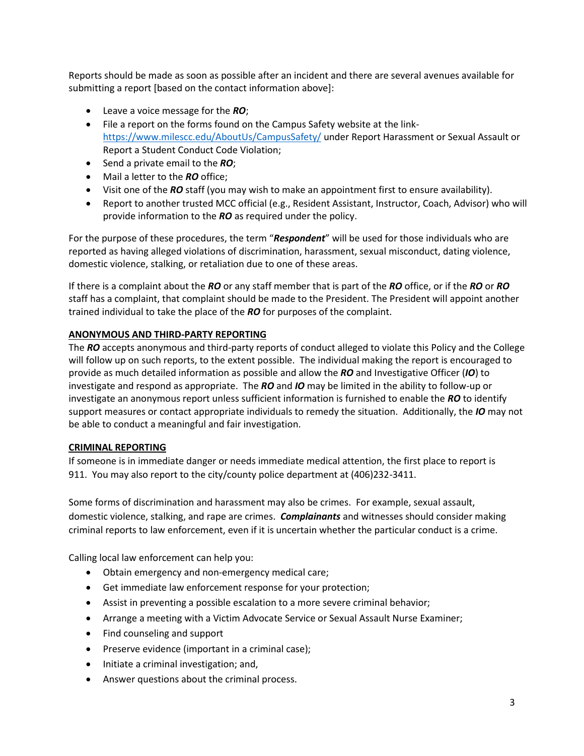Reports should be made as soon as possible after an incident and there are several avenues available for submitting a report [based on the contact information above]:

- Leave a voice message for the *RO*;
- File a report on the forms found on the Campus Safety website at the link<https://www.milescc.edu/AboutUs/CampusSafety/> under Report Harassment or Sexual Assault or Report a Student Conduct Code Violation;
- Send a private email to the *RO*;
- Mail a letter to the *RO* office;
- Visit one of the *RO* staff (you may wish to make an appointment first to ensure availability).
- Report to another trusted MCC official (e.g., Resident Assistant, Instructor, Coach, Advisor) who will provide information to the *RO* as required under the policy.

For the purpose of these procedures, the term "*Respondent*" will be used for those individuals who are reported as having alleged violations of discrimination, harassment, sexual misconduct, dating violence, domestic violence, stalking, or retaliation due to one of these areas.

If there is a complaint about the *RO* or any staff member that is part of the *RO* office, or if the *RO* or *RO* staff has a complaint, that complaint should be made to the President. The President will appoint another trained individual to take the place of the *RO* for purposes of the complaint.

#### **ANONYMOUS AND THIRD-PARTY REPORTING**

The *RO* accepts anonymous and third-party reports of conduct alleged to violate this Policy and the College will follow up on such reports, to the extent possible. The individual making the report is encouraged to provide as much detailed information as possible and allow the *RO* and Investigative Officer (*IO*) to investigate and respond as appropriate. The *RO* and *IO* may be limited in the ability to follow-up or investigate an anonymous report unless sufficient information is furnished to enable the *RO* to identify support measures or contact appropriate individuals to remedy the situation. Additionally, the *IO* may not be able to conduct a meaningful and fair investigation.

#### **CRIMINAL REPORTING**

If someone is in immediate danger or needs immediate medical attention, the first place to report is 911. You may also report to the city/county police department at (406)232-3411.

Some forms of discrimination and harassment may also be crimes. For example, sexual assault, domestic violence, stalking, and rape are crimes. *Complainants* and witnesses should consider making criminal reports to law enforcement, even if it is uncertain whether the particular conduct is a crime.

Calling local law enforcement can help you:

- Obtain emergency and non-emergency medical care;
- Get immediate law enforcement response for your protection;
- Assist in preventing a possible escalation to a more severe criminal behavior;
- Arrange a meeting with a Victim Advocate Service or Sexual Assault Nurse Examiner;
- Find counseling and support
- Preserve evidence (important in a criminal case);
- Initiate a criminal investigation; and,
- Answer questions about the criminal process.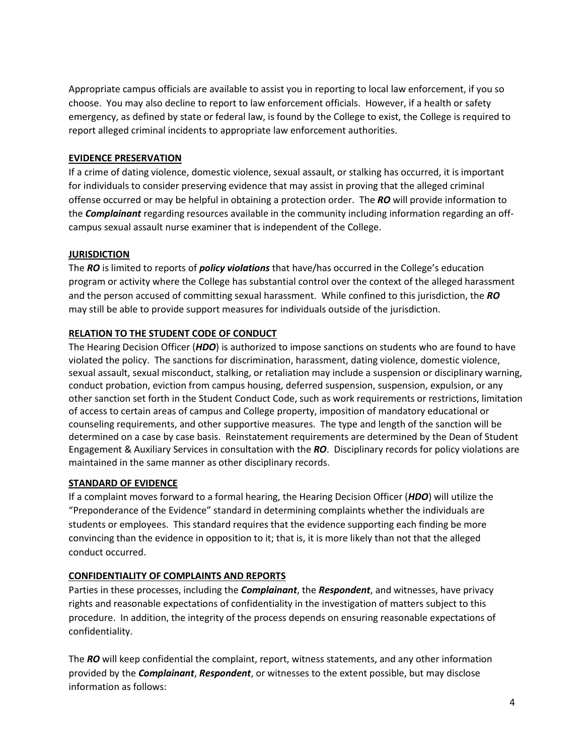Appropriate campus officials are available to assist you in reporting to local law enforcement, if you so choose. You may also decline to report to law enforcement officials. However, if a health or safety emergency, as defined by state or federal law, is found by the College to exist, the College is required to report alleged criminal incidents to appropriate law enforcement authorities.

#### **EVIDENCE PRESERVATION**

If a crime of dating violence, domestic violence, sexual assault, or stalking has occurred, it is important for individuals to consider preserving evidence that may assist in proving that the alleged criminal offense occurred or may be helpful in obtaining a protection order. The *RO* will provide information to the *Complainant* regarding resources available in the community including information regarding an offcampus sexual assault nurse examiner that is independent of the College.

# **JURISDICTION**

The *RO* is limited to reports of *policy violations* that have/has occurred in the College's education program or activity where the College has substantial control over the context of the alleged harassment and the person accused of committing sexual harassment. While confined to this jurisdiction, the *RO* may still be able to provide support measures for individuals outside of the jurisdiction.

# **RELATION TO THE STUDENT CODE OF CONDUCT**

The Hearing Decision Officer (*HDO*) is authorized to impose sanctions on students who are found to have violated the policy. The sanctions for discrimination, harassment, dating violence, domestic violence, sexual assault, sexual misconduct, stalking, or retaliation may include a suspension or disciplinary warning, conduct probation, eviction from campus housing, deferred suspension, suspension, expulsion, or any other sanction set forth in the Student Conduct Code, such as work requirements or restrictions, limitation of access to certain areas of campus and College property, imposition of mandatory educational or counseling requirements, and other supportive measures. The type and length of the sanction will be determined on a case by case basis. Reinstatement requirements are determined by the Dean of Student Engagement & Auxiliary Services in consultation with the *RO*. Disciplinary records for policy violations are maintained in the same manner as other disciplinary records.

# **STANDARD OF EVIDENCE**

If a complaint moves forward to a formal hearing, the Hearing Decision Officer (*HDO*) will utilize the "Preponderance of the Evidence" standard in determining complaints whether the individuals are students or employees. This standard requires that the evidence supporting each finding be more convincing than the evidence in opposition to it; that is, it is more likely than not that the alleged conduct occurred.

#### **CONFIDENTIALITY OF COMPLAINTS AND REPORTS**

Parties in these processes, including the *Complainant*, the *Respondent*, and witnesses, have privacy rights and reasonable expectations of confidentiality in the investigation of matters subject to this procedure. In addition, the integrity of the process depends on ensuring reasonable expectations of confidentiality.

The *RO* will keep confidential the complaint, report, witness statements, and any other information provided by the *Complainant*, *Respondent*, or witnesses to the extent possible, but may disclose information as follows: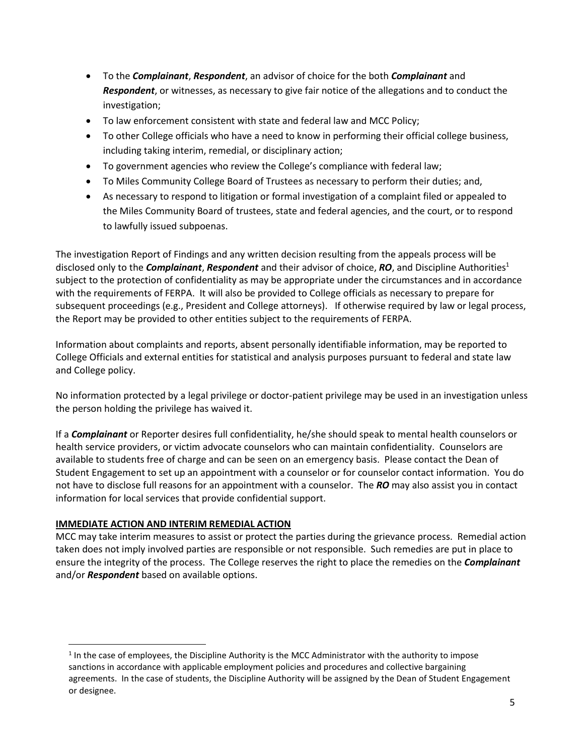- To the *Complainant*, *Respondent*, an advisor of choice for the both *Complainant* and *Respondent*, or witnesses, as necessary to give fair notice of the allegations and to conduct the investigation;
- To law enforcement consistent with state and federal law and MCC Policy;
- To other College officials who have a need to know in performing their official college business, including taking interim, remedial, or disciplinary action;
- To government agencies who review the College's compliance with federal law;
- To Miles Community College Board of Trustees as necessary to perform their duties; and,
- As necessary to respond to litigation or formal investigation of a complaint filed or appealed to the Miles Community Board of trustees, state and federal agencies, and the court, or to respond to lawfully issued subpoenas.

The investigation Report of Findings and any written decision resulting from the appeals process will be disclosed only to the *Complainant*, *Respondent* and their advisor of choice, *RO*, and Discipline Authorities<sup>1</sup> subject to the protection of confidentiality as may be appropriate under the circumstances and in accordance with the requirements of FERPA. It will also be provided to College officials as necessary to prepare for subsequent proceedings (e.g., President and College attorneys). If otherwise required by law or legal process, the Report may be provided to other entities subject to the requirements of FERPA.

Information about complaints and reports, absent personally identifiable information, may be reported to College Officials and external entities for statistical and analysis purposes pursuant to federal and state law and College policy.

No information protected by a legal privilege or doctor-patient privilege may be used in an investigation unless the person holding the privilege has waived it.

If a *Complainant* or Reporter desires full confidentiality, he/she should speak to mental health counselors or health service providers, or victim advocate counselors who can maintain confidentiality. Counselors are available to students free of charge and can be seen on an emergency basis. Please contact the Dean of Student Engagement to set up an appointment with a counselor or for counselor contact information. You do not have to disclose full reasons for an appointment with a counselor. The *RO* may also assist you in contact information for local services that provide confidential support.

# **IMMEDIATE ACTION AND INTERIM REMEDIAL ACTION**

 $\overline{\phantom{a}}$ 

MCC may take interim measures to assist or protect the parties during the grievance process. Remedial action taken does not imply involved parties are responsible or not responsible. Such remedies are put in place to ensure the integrity of the process. The College reserves the right to place the remedies on the *Complainant* and/or *Respondent* based on available options.

 $<sup>1</sup>$  In the case of employees, the Discipline Authority is the MCC Administrator with the authority to impose</sup> sanctions in accordance with applicable employment policies and procedures and collective bargaining agreements. In the case of students, the Discipline Authority will be assigned by the Dean of Student Engagement or designee.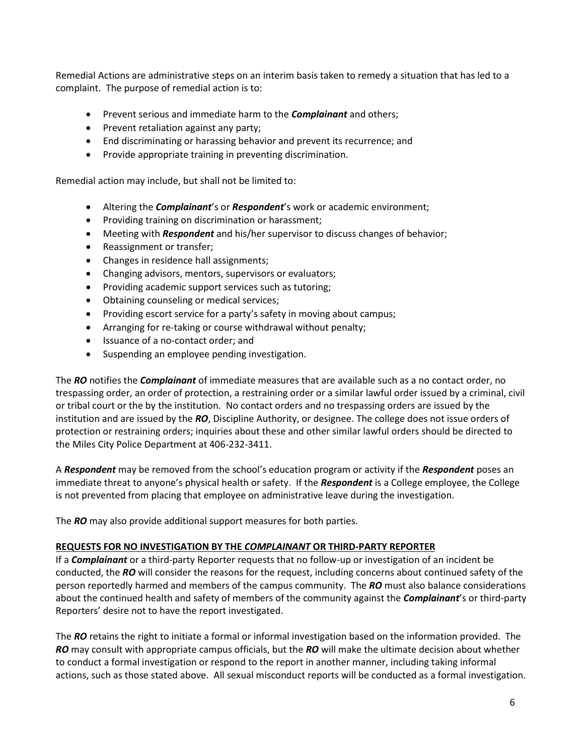Remedial Actions are administrative steps on an interim basis taken to remedy a situation that has led to a complaint. The purpose of remedial action is to:

- Prevent serious and immediate harm to the *Complainant* and others;
- Prevent retaliation against any party;
- End discriminating or harassing behavior and prevent its recurrence; and
- Provide appropriate training in preventing discrimination.

Remedial action may include, but shall not be limited to:

- Altering the *Complainant*'s or *Respondent*'s work or academic environment;
- Providing training on discrimination or harassment;
- Meeting with *Respondent* and his/her supervisor to discuss changes of behavior;
- Reassignment or transfer;
- Changes in residence hall assignments;
- Changing advisors, mentors, supervisors or evaluators;
- Providing academic support services such as tutoring;
- Obtaining counseling or medical services;
- Providing escort service for a party's safety in moving about campus;
- Arranging for re-taking or course withdrawal without penalty;
- Issuance of a no-contact order; and
- Suspending an employee pending investigation.

The *RO* notifies the *Complainant* of immediate measures that are available such as a no contact order, no trespassing order, an order of protection, a restraining order or a similar lawful order issued by a criminal, civil or tribal court or the by the institution. No contact orders and no trespassing orders are issued by the institution and are issued by the *RO*, Discipline Authority, or designee. The college does not issue orders of protection or restraining orders; inquiries about these and other similar lawful orders should be directed to the Miles City Police Department at 406-232-3411.

A *Respondent* may be removed from the school's education program or activity if the *Respondent* poses an immediate threat to anyone's physical health or safety. If the *Respondent* is a College employee, the College is not prevented from placing that employee on administrative leave during the investigation.

The *RO* may also provide additional support measures for both parties.

#### **REQUESTS FOR NO INVESTIGATION BY THE** *COMPLAINANT* **OR THIRD-PARTY REPORTER**

If a *Complainant* or a third-party Reporter requests that no follow-up or investigation of an incident be conducted, the *RO* will consider the reasons for the request, including concerns about continued safety of the person reportedly harmed and members of the campus community. The *RO* must also balance considerations about the continued health and safety of members of the community against the *Complainant*'s or third-party Reporters' desire not to have the report investigated.

The *RO* retains the right to initiate a formal or informal investigation based on the information provided. The *RO* may consult with appropriate campus officials, but the *RO* will make the ultimate decision about whether to conduct a formal investigation or respond to the report in another manner, including taking informal actions, such as those stated above. All sexual misconduct reports will be conducted as a formal investigation.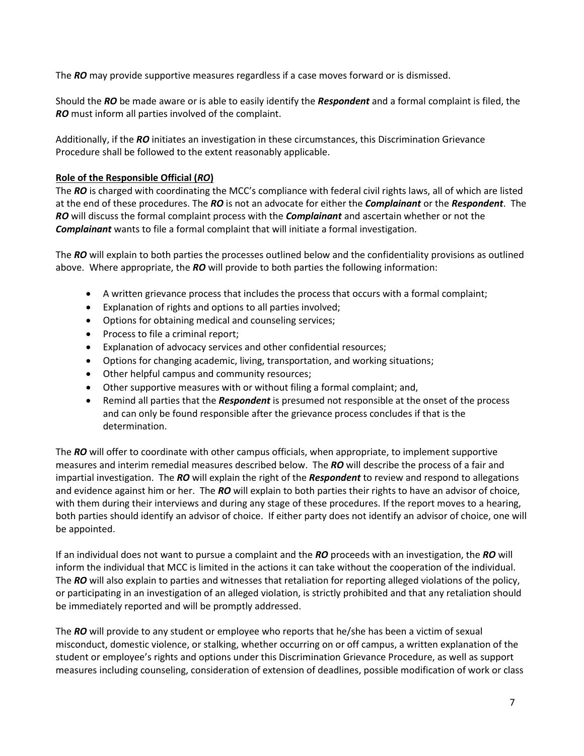The *RO* may provide supportive measures regardless if a case moves forward or is dismissed.

Should the *RO* be made aware or is able to easily identify the *Respondent* and a formal complaint is filed, the *RO* must inform all parties involved of the complaint.

Additionally, if the *RO* initiates an investigation in these circumstances, this Discrimination Grievance Procedure shall be followed to the extent reasonably applicable.

#### **Role of the Responsible Official (***RO***)**

The *RO* is charged with coordinating the MCC's compliance with federal civil rights laws, all of which are listed at the end of these procedures. The *RO* is not an advocate for either the *Complainant* or the *Respondent*. The *RO* will discuss the formal complaint process with the *Complainant* and ascertain whether or not the *Complainant* wants to file a formal complaint that will initiate a formal investigation.

The *RO* will explain to both parties the processes outlined below and the confidentiality provisions as outlined above. Where appropriate, the *RO* will provide to both parties the following information:

- A written grievance process that includes the process that occurs with a formal complaint;
- Explanation of rights and options to all parties involved;
- Options for obtaining medical and counseling services;
- Process to file a criminal report;
- Explanation of advocacy services and other confidential resources;
- Options for changing academic, living, transportation, and working situations;
- Other helpful campus and community resources;
- Other supportive measures with or without filing a formal complaint; and,
- Remind all parties that the *Respondent* is presumed not responsible at the onset of the process and can only be found responsible after the grievance process concludes if that is the determination.

The *RO* will offer to coordinate with other campus officials, when appropriate, to implement supportive measures and interim remedial measures described below. The *RO* will describe the process of a fair and impartial investigation. The *RO* will explain the right of the *Respondent* to review and respond to allegations and evidence against him or her. The *RO* will explain to both parties their rights to have an advisor of choice, with them during their interviews and during any stage of these procedures. If the report moves to a hearing, both parties should identify an advisor of choice. If either party does not identify an advisor of choice, one will be appointed.

If an individual does not want to pursue a complaint and the *RO* proceeds with an investigation, the *RO* will inform the individual that MCC is limited in the actions it can take without the cooperation of the individual. The *RO* will also explain to parties and witnesses that retaliation for reporting alleged violations of the policy, or participating in an investigation of an alleged violation, is strictly prohibited and that any retaliation should be immediately reported and will be promptly addressed.

The *RO* will provide to any student or employee who reports that he/she has been a victim of sexual misconduct, domestic violence, or stalking, whether occurring on or off campus, a written explanation of the student or employee's rights and options under this Discrimination Grievance Procedure, as well as support measures including counseling, consideration of extension of deadlines, possible modification of work or class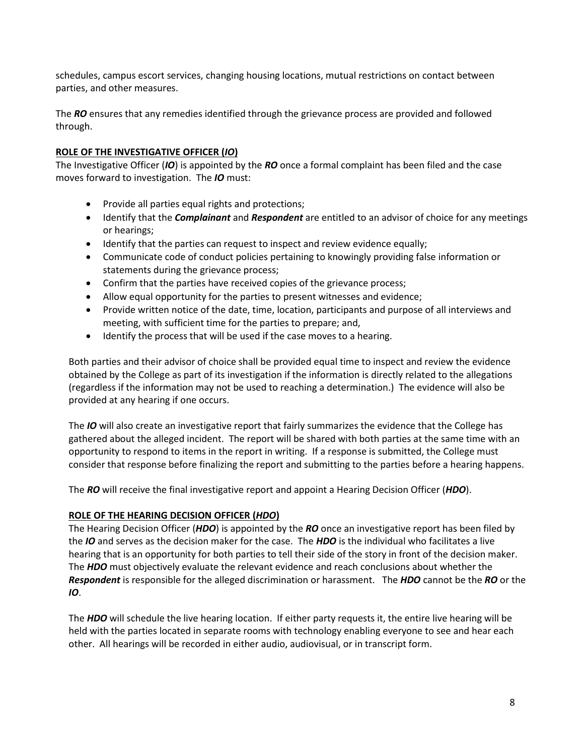schedules, campus escort services, changing housing locations, mutual restrictions on contact between parties, and other measures.

The *RO* ensures that any remedies identified through the grievance process are provided and followed through.

### **ROLE OF THE INVESTIGATIVE OFFICER (***IO***)**

The Investigative Officer (*IO*) is appointed by the *RO* once a formal complaint has been filed and the case moves forward to investigation. The *IO* must:

- Provide all parties equal rights and protections;
- Identify that the *Complainant* and *Respondent* are entitled to an advisor of choice for any meetings or hearings;
- Identify that the parties can request to inspect and review evidence equally;
- Communicate code of conduct policies pertaining to knowingly providing false information or statements during the grievance process;
- Confirm that the parties have received copies of the grievance process;
- Allow equal opportunity for the parties to present witnesses and evidence;
- Provide written notice of the date, time, location, participants and purpose of all interviews and meeting, with sufficient time for the parties to prepare; and,
- Identify the process that will be used if the case moves to a hearing.

Both parties and their advisor of choice shall be provided equal time to inspect and review the evidence obtained by the College as part of its investigation if the information is directly related to the allegations (regardless if the information may not be used to reaching a determination.) The evidence will also be provided at any hearing if one occurs.

The *IO* will also create an investigative report that fairly summarizes the evidence that the College has gathered about the alleged incident. The report will be shared with both parties at the same time with an opportunity to respond to items in the report in writing. If a response is submitted, the College must consider that response before finalizing the report and submitting to the parties before a hearing happens.

The *RO* will receive the final investigative report and appoint a Hearing Decision Officer (*HDO*).

#### **ROLE OF THE HEARING DECISION OFFICER (***HDO***)**

The Hearing Decision Officer (*HDO*) is appointed by the *RO* once an investigative report has been filed by the *IO* and serves as the decision maker for the case. The *HDO* is the individual who facilitates a live hearing that is an opportunity for both parties to tell their side of the story in front of the decision maker. The *HDO* must objectively evaluate the relevant evidence and reach conclusions about whether the *Respondent* is responsible for the alleged discrimination or harassment. The *HDO* cannot be the *RO* or the *IO*.

The *HDO* will schedule the live hearing location. If either party requests it, the entire live hearing will be held with the parties located in separate rooms with technology enabling everyone to see and hear each other. All hearings will be recorded in either audio, audiovisual, or in transcript form.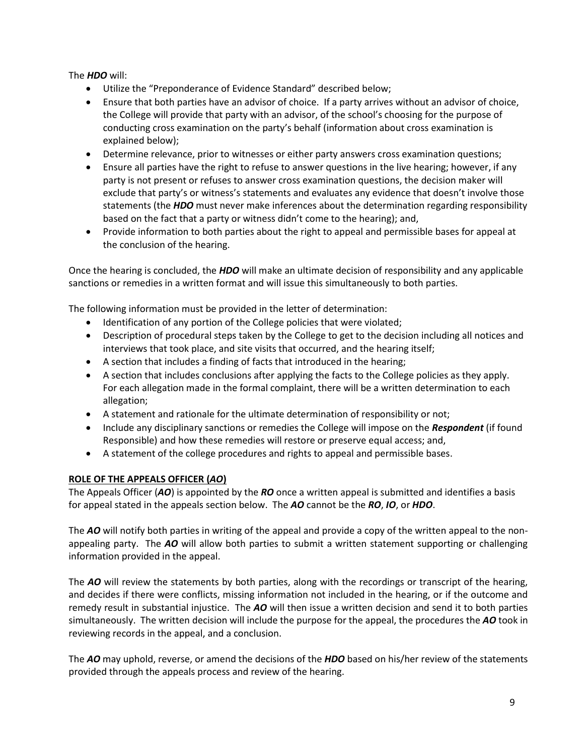The *HDO* will:

- Utilize the "Preponderance of Evidence Standard" described below;
- Ensure that both parties have an advisor of choice. If a party arrives without an advisor of choice, the College will provide that party with an advisor, of the school's choosing for the purpose of conducting cross examination on the party's behalf (information about cross examination is explained below);
- Determine relevance, prior to witnesses or either party answers cross examination questions;
- Ensure all parties have the right to refuse to answer questions in the live hearing; however, if any party is not present or refuses to answer cross examination questions, the decision maker will exclude that party's or witness's statements and evaluates any evidence that doesn't involve those statements (the *HDO* must never make inferences about the determination regarding responsibility based on the fact that a party or witness didn't come to the hearing); and,
- Provide information to both parties about the right to appeal and permissible bases for appeal at the conclusion of the hearing.

Once the hearing is concluded, the *HDO* will make an ultimate decision of responsibility and any applicable sanctions or remedies in a written format and will issue this simultaneously to both parties.

The following information must be provided in the letter of determination:

- Identification of any portion of the College policies that were violated;
- Description of procedural steps taken by the College to get to the decision including all notices and interviews that took place, and site visits that occurred, and the hearing itself;
- A section that includes a finding of facts that introduced in the hearing;
- A section that includes conclusions after applying the facts to the College policies as they apply. For each allegation made in the formal complaint, there will be a written determination to each allegation;
- A statement and rationale for the ultimate determination of responsibility or not;
- Include any disciplinary sanctions or remedies the College will impose on the *Respondent* (if found Responsible) and how these remedies will restore or preserve equal access; and,
- A statement of the college procedures and rights to appeal and permissible bases.

# **ROLE OF THE APPEALS OFFICER (***AO***)**

The Appeals Officer (*AO*) is appointed by the *RO* once a written appeal is submitted and identifies a basis for appeal stated in the appeals section below. The *AO* cannot be the *RO*, *IO*, or *HDO*.

The *AO* will notify both parties in writing of the appeal and provide a copy of the written appeal to the nonappealing party. The *AO* will allow both parties to submit a written statement supporting or challenging information provided in the appeal.

The *AO* will review the statements by both parties, along with the recordings or transcript of the hearing, and decides if there were conflicts, missing information not included in the hearing, or if the outcome and remedy result in substantial injustice. The *AO* will then issue a written decision and send it to both parties simultaneously. The written decision will include the purpose for the appeal, the procedures the *AO* took in reviewing records in the appeal, and a conclusion.

The *AO* may uphold, reverse, or amend the decisions of the *HDO* based on his/her review of the statements provided through the appeals process and review of the hearing.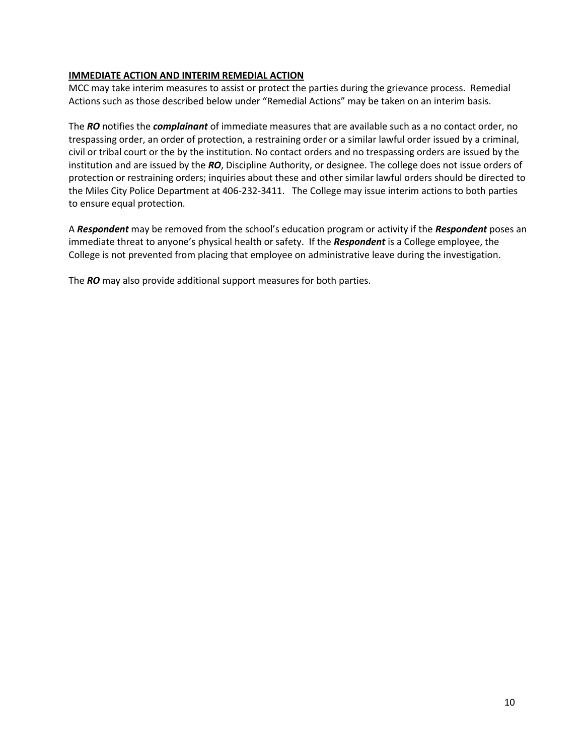#### **IMMEDIATE ACTION AND INTERIM REMEDIAL ACTION**

MCC may take interim measures to assist or protect the parties during the grievance process. Remedial Actions such as those described below under "Remedial Actions" may be taken on an interim basis.

The *RO* notifies the *complainant* of immediate measures that are available such as a no contact order, no trespassing order, an order of protection, a restraining order or a similar lawful order issued by a criminal, civil or tribal court or the by the institution. No contact orders and no trespassing orders are issued by the institution and are issued by the *RO*, Discipline Authority, or designee. The college does not issue orders of protection or restraining orders; inquiries about these and other similar lawful orders should be directed to the Miles City Police Department at 406-232-3411. The College may issue interim actions to both parties to ensure equal protection.

A *Respondent* may be removed from the school's education program or activity if the *Respondent* poses an immediate threat to anyone's physical health or safety. If the *Respondent* is a College employee, the College is not prevented from placing that employee on administrative leave during the investigation.

The *RO* may also provide additional support measures for both parties.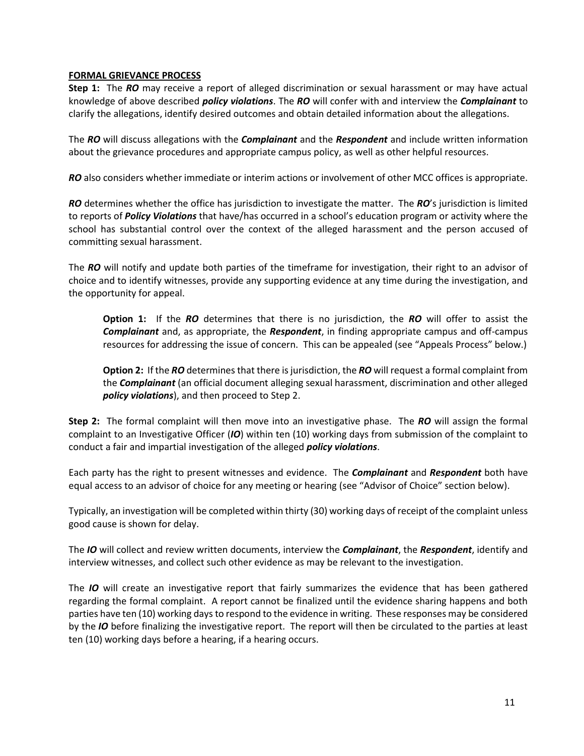#### **FORMAL GRIEVANCE PROCESS**

**Step 1:** The *RO* may receive a report of alleged discrimination or sexual harassment or may have actual knowledge of above described *policy violations*. The *RO* will confer with and interview the *Complainant* to clarify the allegations, identify desired outcomes and obtain detailed information about the allegations.

The *RO* will discuss allegations with the *Complainant* and the *Respondent* and include written information about the grievance procedures and appropriate campus policy, as well as other helpful resources.

*RO* also considers whether immediate or interim actions or involvement of other MCC offices is appropriate.

*RO* determines whether the office has jurisdiction to investigate the matter. The *RO*'s jurisdiction is limited to reports of *Policy Violations* that have/has occurred in a school's education program or activity where the school has substantial control over the context of the alleged harassment and the person accused of committing sexual harassment.

The *RO* will notify and update both parties of the timeframe for investigation, their right to an advisor of choice and to identify witnesses, provide any supporting evidence at any time during the investigation, and the opportunity for appeal.

**Option 1:** If the *RO* determines that there is no jurisdiction, the *RO* will offer to assist the *Complainant* and, as appropriate, the *Respondent*, in finding appropriate campus and off-campus resources for addressing the issue of concern. This can be appealed (see "Appeals Process" below.)

**Option 2:** If the *RO* determines that there is jurisdiction, the *RO* will request a formal complaint from the *Complainant* (an official document alleging sexual harassment, discrimination and other alleged *policy violations*), and then proceed to Step 2.

**Step 2:** The formal complaint will then move into an investigative phase. The *RO* will assign the formal complaint to an Investigative Officer (*IO*) within ten (10) working days from submission of the complaint to conduct a fair and impartial investigation of the alleged *policy violations*.

Each party has the right to present witnesses and evidence. The *Complainant* and *Respondent* both have equal access to an advisor of choice for any meeting or hearing (see "Advisor of Choice" section below).

Typically, an investigation will be completed within thirty (30) working days of receipt of the complaint unless good cause is shown for delay.

The *IO* will collect and review written documents, interview the *Complainant*, the *Respondent*, identify and interview witnesses, and collect such other evidence as may be relevant to the investigation.

The *IO* will create an investigative report that fairly summarizes the evidence that has been gathered regarding the formal complaint. A report cannot be finalized until the evidence sharing happens and both parties have ten (10) working days to respond to the evidence in writing. These responses may be considered by the *IO* before finalizing the investigative report. The report will then be circulated to the parties at least ten (10) working days before a hearing, if a hearing occurs.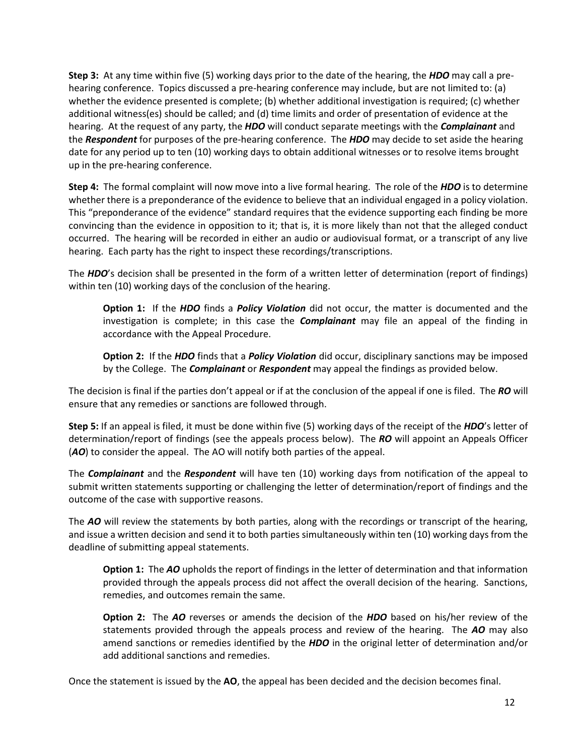**Step 3:** At any time within five (5) working days prior to the date of the hearing, the *HDO* may call a prehearing conference. Topics discussed a pre-hearing conference may include, but are not limited to: (a) whether the evidence presented is complete; (b) whether additional investigation is required; (c) whether additional witness(es) should be called; and (d) time limits and order of presentation of evidence at the hearing. At the request of any party, the *HDO* will conduct separate meetings with the *Complainant* and the *Respondent* for purposes of the pre-hearing conference. The *HDO* may decide to set aside the hearing date for any period up to ten (10) working days to obtain additional witnesses or to resolve items brought up in the pre-hearing conference.

**Step 4:** The formal complaint will now move into a live formal hearing. The role of the *HDO* is to determine whether there is a preponderance of the evidence to believe that an individual engaged in a policy violation. This "preponderance of the evidence" standard requires that the evidence supporting each finding be more convincing than the evidence in opposition to it; that is, it is more likely than not that the alleged conduct occurred. The hearing will be recorded in either an audio or audiovisual format, or a transcript of any live hearing. Each party has the right to inspect these recordings/transcriptions.

The *HDO*'s decision shall be presented in the form of a written letter of determination (report of findings) within ten (10) working days of the conclusion of the hearing.

**Option 1:** If the *HDO* finds a *Policy Violation* did not occur, the matter is documented and the investigation is complete; in this case the *Complainant* may file an appeal of the finding in accordance with the Appeal Procedure.

**Option 2:** If the *HDO* finds that a *Policy Violation* did occur, disciplinary sanctions may be imposed by the College. The *Complainant* or *Respondent* may appeal the findings as provided below.

The decision is final if the parties don't appeal or if at the conclusion of the appeal if one is filed. The *RO* will ensure that any remedies or sanctions are followed through.

**Step 5:** If an appeal is filed, it must be done within five (5) working days of the receipt of the *HDO*'s letter of determination/report of findings (see the appeals process below). The *RO* will appoint an Appeals Officer (*AO*) to consider the appeal. The AO will notify both parties of the appeal.

The *Complainant* and the *Respondent* will have ten (10) working days from notification of the appeal to submit written statements supporting or challenging the letter of determination/report of findings and the outcome of the case with supportive reasons.

The *AO* will review the statements by both parties, along with the recordings or transcript of the hearing, and issue a written decision and send it to both parties simultaneously within ten (10) working days from the deadline of submitting appeal statements.

**Option 1:** The *AO* upholds the report of findings in the letter of determination and that information provided through the appeals process did not affect the overall decision of the hearing. Sanctions, remedies, and outcomes remain the same.

**Option 2:** The *AO* reverses or amends the decision of the *HDO* based on his/her review of the statements provided through the appeals process and review of the hearing. The *AO* may also amend sanctions or remedies identified by the *HDO* in the original letter of determination and/or add additional sanctions and remedies.

Once the statement is issued by the **AO**, the appeal has been decided and the decision becomes final.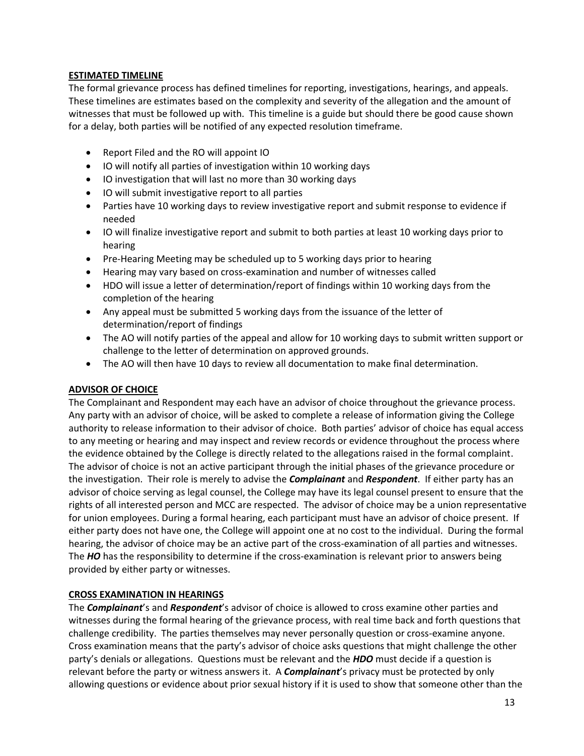#### **ESTIMATED TIMELINE**

The formal grievance process has defined timelines for reporting, investigations, hearings, and appeals. These timelines are estimates based on the complexity and severity of the allegation and the amount of witnesses that must be followed up with. This timeline is a guide but should there be good cause shown for a delay, both parties will be notified of any expected resolution timeframe.

- Report Filed and the RO will appoint IO
- IO will notify all parties of investigation within 10 working days
- IO investigation that will last no more than 30 working days
- IO will submit investigative report to all parties
- Parties have 10 working days to review investigative report and submit response to evidence if needed
- IO will finalize investigative report and submit to both parties at least 10 working days prior to hearing
- Pre-Hearing Meeting may be scheduled up to 5 working days prior to hearing
- Hearing may vary based on cross-examination and number of witnesses called
- HDO will issue a letter of determination/report of findings within 10 working days from the completion of the hearing
- Any appeal must be submitted 5 working days from the issuance of the letter of determination/report of findings
- The AO will notify parties of the appeal and allow for 10 working days to submit written support or challenge to the letter of determination on approved grounds.
- The AO will then have 10 days to review all documentation to make final determination.

#### **ADVISOR OF CHOICE**

The Complainant and Respondent may each have an advisor of choice throughout the grievance process. Any party with an advisor of choice, will be asked to complete a release of information giving the College authority to release information to their advisor of choice. Both parties' advisor of choice has equal access to any meeting or hearing and may inspect and review records or evidence throughout the process where the evidence obtained by the College is directly related to the allegations raised in the formal complaint. The advisor of choice is not an active participant through the initial phases of the grievance procedure or the investigation. Their role is merely to advise the *Complainant* and *Respondent*. If either party has an advisor of choice serving as legal counsel, the College may have its legal counsel present to ensure that the rights of all interested person and MCC are respected. The advisor of choice may be a union representative for union employees. During a formal hearing, each participant must have an advisor of choice present. If either party does not have one, the College will appoint one at no cost to the individual. During the formal hearing, the advisor of choice may be an active part of the cross-examination of all parties and witnesses. The HO has the responsibility to determine if the cross-examination is relevant prior to answers being provided by either party or witnesses.

# **CROSS EXAMINATION IN HEARINGS**

The *Complainant*'s and *Respondent*'s advisor of choice is allowed to cross examine other parties and witnesses during the formal hearing of the grievance process, with real time back and forth questions that challenge credibility. The parties themselves may never personally question or cross-examine anyone. Cross examination means that the party's advisor of choice asks questions that might challenge the other party's denials or allegations. Questions must be relevant and the *HDO* must decide if a question is relevant before the party or witness answers it. A *Complainant*'s privacy must be protected by only allowing questions or evidence about prior sexual history if it is used to show that someone other than the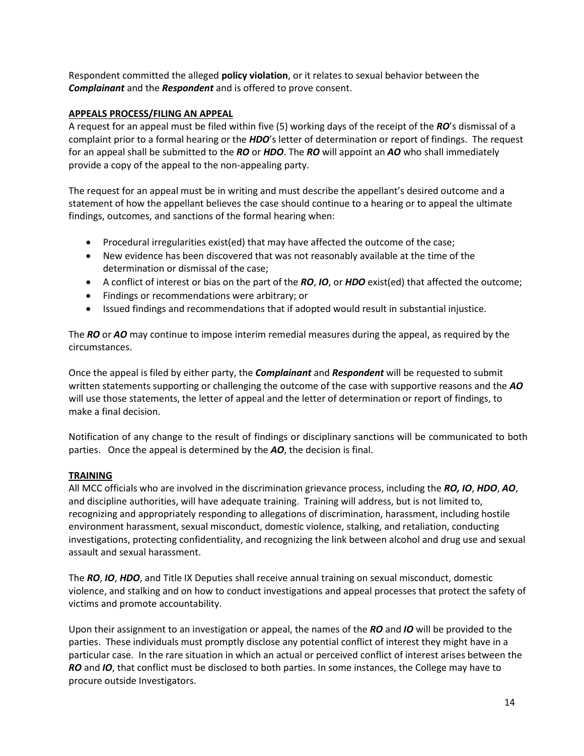Respondent committed the alleged **policy violation**, or it relates to sexual behavior between the *Complainant* and the *Respondent* and is offered to prove consent.

#### **APPEALS PROCESS/FILING AN APPEAL**

A request for an appeal must be filed within five (5) working days of the receipt of the *RO*'s dismissal of a complaint prior to a formal hearing or the *HDO*'s letter of determination or report of findings. The request for an appeal shall be submitted to the *RO* or *HDO*. The *RO* will appoint an *AO* who shall immediately provide a copy of the appeal to the non-appealing party.

The request for an appeal must be in writing and must describe the appellant's desired outcome and a statement of how the appellant believes the case should continue to a hearing or to appeal the ultimate findings, outcomes, and sanctions of the formal hearing when:

- Procedural irregularities exist(ed) that may have affected the outcome of the case;
- New evidence has been discovered that was not reasonably available at the time of the determination or dismissal of the case;
- A conflict of interest or bias on the part of the *RO*, *IO*, or *HDO* exist(ed) that affected the outcome;
- Findings or recommendations were arbitrary; or
- Issued findings and recommendations that if adopted would result in substantial injustice.

The *RO* or *AO* may continue to impose interim remedial measures during the appeal, as required by the circumstances.

Once the appeal is filed by either party, the *Complainant* and *Respondent* will be requested to submit written statements supporting or challenging the outcome of the case with supportive reasons and the *AO* will use those statements, the letter of appeal and the letter of determination or report of findings, to make a final decision.

Notification of any change to the result of findings or disciplinary sanctions will be communicated to both parties. Once the appeal is determined by the *AO*, the decision is final.

#### **TRAINING**

All MCC officials who are involved in the discrimination grievance process, including the *RO, IO*, *HDO*, *AO*, and discipline authorities, will have adequate training. Training will address, but is not limited to, recognizing and appropriately responding to allegations of discrimination, harassment, including hostile environment harassment, sexual misconduct, domestic violence, stalking, and retaliation, conducting investigations, protecting confidentiality, and recognizing the link between alcohol and drug use and sexual assault and sexual harassment.

The *RO*, *IO*, *HDO*, and Title IX Deputies shall receive annual training on sexual misconduct, domestic violence, and stalking and on how to conduct investigations and appeal processes that protect the safety of victims and promote accountability.

Upon their assignment to an investigation or appeal, the names of the *RO* and *IO* will be provided to the parties. These individuals must promptly disclose any potential conflict of interest they might have in a particular case. In the rare situation in which an actual or perceived conflict of interest arises between the *RO* and *IO*, that conflict must be disclosed to both parties. In some instances, the College may have to procure outside Investigators.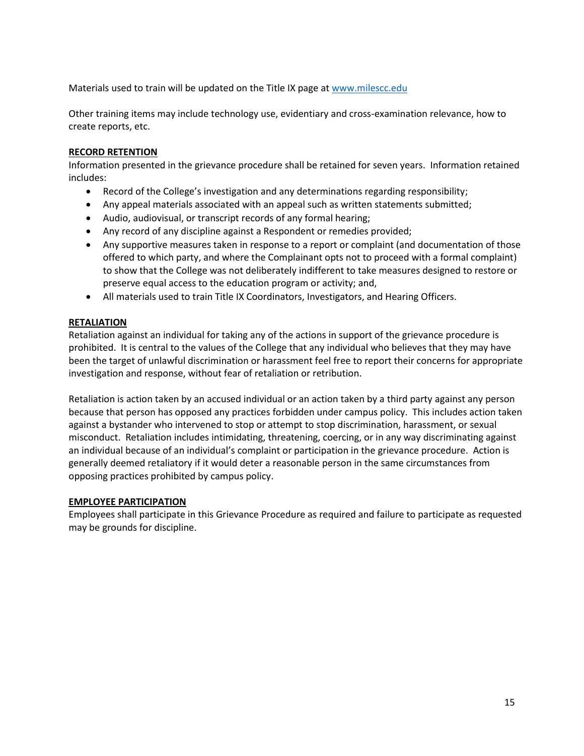Materials used to train will be updated on the Title IX page at [www.milescc.edu](http://www.milescc.edu/)

Other training items may include technology use, evidentiary and cross-examination relevance, how to create reports, etc.

#### **RECORD RETENTION**

Information presented in the grievance procedure shall be retained for seven years. Information retained includes:

- Record of the College's investigation and any determinations regarding responsibility;
- Any appeal materials associated with an appeal such as written statements submitted;
- Audio, audiovisual, or transcript records of any formal hearing;
- Any record of any discipline against a Respondent or remedies provided;
- Any supportive measures taken in response to a report or complaint (and documentation of those offered to which party, and where the Complainant opts not to proceed with a formal complaint) to show that the College was not deliberately indifferent to take measures designed to restore or preserve equal access to the education program or activity; and,
- All materials used to train Title IX Coordinators, Investigators, and Hearing Officers.

#### **RETALIATION**

Retaliation against an individual for taking any of the actions in support of the grievance procedure is prohibited. It is central to the values of the College that any individual who believes that they may have been the target of unlawful discrimination or harassment feel free to report their concerns for appropriate investigation and response, without fear of retaliation or retribution.

Retaliation is action taken by an accused individual or an action taken by a third party against any person because that person has opposed any practices forbidden under campus policy. This includes action taken against a bystander who intervened to stop or attempt to stop discrimination, harassment, or sexual misconduct. Retaliation includes intimidating, threatening, coercing, or in any way discriminating against an individual because of an individual's complaint or participation in the grievance procedure. Action is generally deemed retaliatory if it would deter a reasonable person in the same circumstances from opposing practices prohibited by campus policy.

#### **EMPLOYEE PARTICIPATION**

<span id="page-15-0"></span>Employees shall participate in this Grievance Procedure as required and failure to participate as requested may be grounds for discipline.